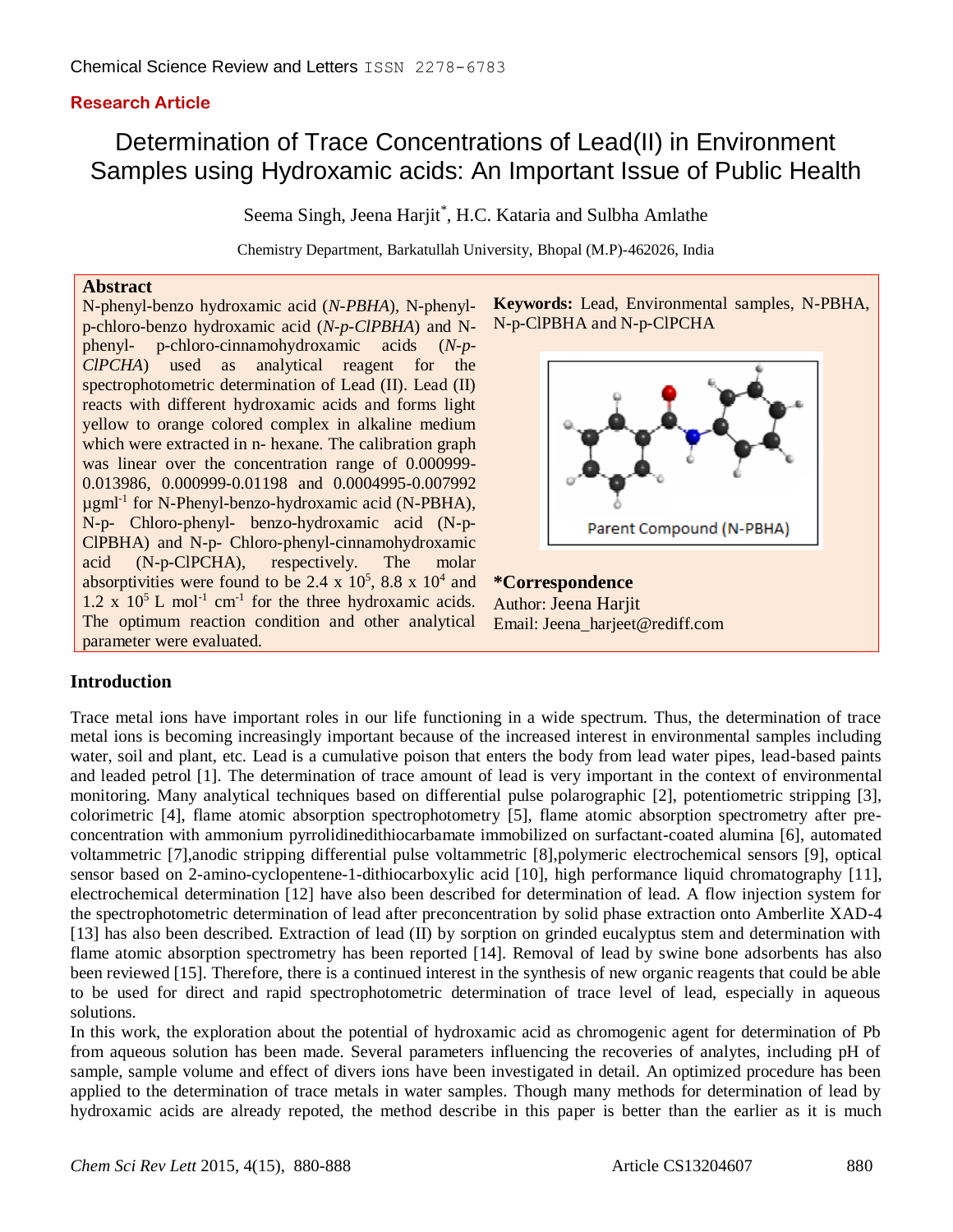# **Research Article**

# Determination of Trace Concentrations of Lead(II) in Environment Samples using Hydroxamic acids: An Important Issue of Public Health

Seema Singh, Jeena Harjit\*, H.C. Kataria and Sulbha Amlathe

Chemistry Department, Barkatullah University, Bhopal (M.P)-462026, India

#### **Abstract**

N-phenyl-benzo hydroxamic acid (*N-PBHA*), N-phenylp-chloro-benzo hydroxamic acid (*N-p-ClPBHA*) and Nphenyl- p-chloro-cinnamohydroxamic acids (*N-p-ClPCHA*) used as analytical reagent for the spectrophotometric determination of Lead (II). Lead (II) reacts with different hydroxamic acids and forms light yellow to orange colored complex in alkaline medium which were extracted in n- hexane. The calibration graph was linear over the concentration range of 0.000999- 0.013986, 0.000999-0.01198 and 0.0004995-0.007992 µgml-1 for N-Phenyl-benzo-hydroxamic acid (N-PBHA), N-p- Chloro-phenyl- benzo-hydroxamic acid (N-p-ClPBHA) and N-p- Chloro-phenyl-cinnamohydroxamic acid (N-p-ClPCHA), respectively. The molar absorptivities were found to be 2.4 x  $10^5$ , 8.8 x  $10^4$  and 1.2 x  $10^5$  L mol<sup>-1</sup> cm<sup>-1</sup> for the three hydroxamic acids. The optimum reaction condition and other analytical parameter were evaluated.





**\*Correspondence** Author: Jeena Harjit Email: Jeena\_harjeet@rediff.com

## **Introduction**

Trace metal ions have important roles in our life functioning in a wide spectrum. Thus, the determination of trace metal ions is becoming increasingly important because of the increased interest in environmental samples including water, soil and plant, etc. Lead is a cumulative poison that enters the body from lead water pipes, lead-based paints and leaded petrol [1]. The determination of trace amount of lead is very important in the context of environmental monitoring. Many analytical techniques based on differential pulse polarographic [2], potentiometric stripping [3], [colorimetric](https://www.google.co.in/url?sa=t&rct=j&q=&esrc=s&source=web&cd=10&cad=rja&uact=8&ved=0CHYQFjAJ&url=http%3A%2F%2Fwww.mdpi.com%2F1424-8220%2F10%2F12%2F11144&ei=EqNeU6i-FMKA8gWwtYGABA&usg=AFQjCNF226MDtOUzvCdWPMqlQcJOPUwpqA&bvm=bv.65397613,d.dGc) [4], flame atomic absorption spectrophotometry [5], flame atomic absorption spectrometry after preconcentration with ammonium pyrrolidinedithiocarbamate immobilized on surfactant-coated alumina [6], automated voltammetric [7],anodic stripping differential pulse voltammetric [8],polymeric electrochemical sensors [9], optical sensor based on 2-amino-cyclopentene-1-dithiocarboxylic acid [10], high performance liquid chromatography [11], electrochemical determination [12] have also been described for determination of lead. A flow injection system for the spectrophotometric determination of lead after preconcentration by solid phase extraction onto Amberlite XAD-4 [13] has also been described. Extraction of lead (II) by sorption on grinded eucalyptus stem and determination with flame atomic absorption spectrometry has been reported [14]. Removal of lead by swine bone adsorbents has also been reviewed [15]. Therefore, there is a continued interest in the synthesis of new organic reagents that could be able to be used for direct and rapid spectrophotometric determination of trace level of lead, especially in aqueous solutions.

In this work, the exploration about the potential of hydroxamic acid as chromogenic agent for determination of Pb from aqueous solution has been made. Several parameters influencing the recoveries of analytes, including pH of sample, sample volume and effect of divers ions have been investigated in detail. An optimized procedure has been applied to the determination of trace metals in water samples. Though many methods for determination of lead by hydroxamic acids are already repoted, the method describe in this paper is better than the earlier as it is much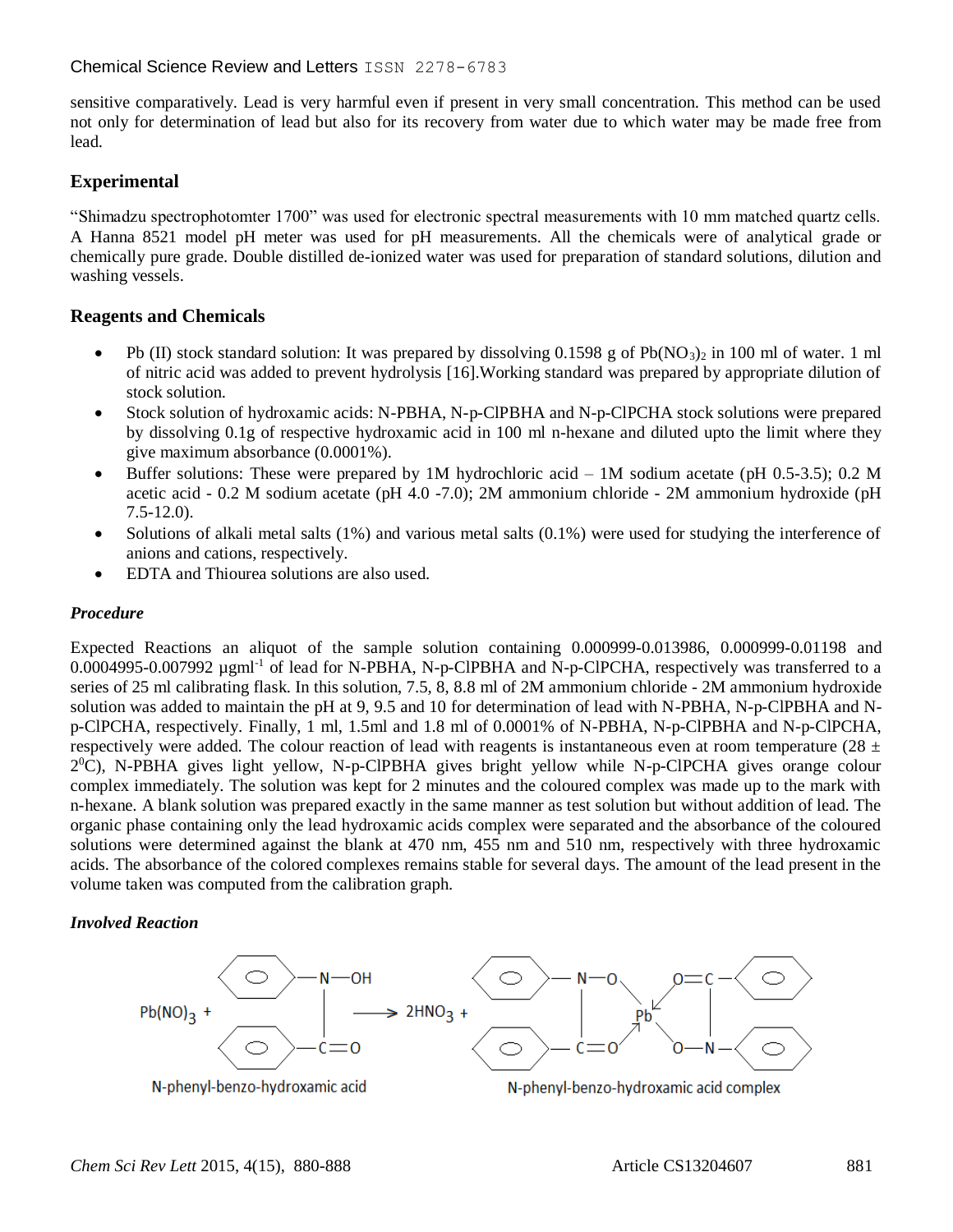## Chemical Science Review and Letters ISSN 2278-6783

sensitive comparatively. Lead is very harmful even if present in very small concentration. This method can be used not only for determination of lead but also for its recovery from water due to which water may be made free from lead.

# **Experimental**

"Shimadzu spectrophotomter 1700" was used for electronic spectral measurements with 10 mm matched quartz cells. A Hanna 8521 model pH meter was used for pH measurements. All the chemicals were of analytical grade or chemically pure grade. Double distilled de-ionized water was used for preparation of standard solutions, dilution and washing vessels.

## **Reagents and Chemicals**

- Pb (II) stock standard solution: It was prepared by dissolving 0.1598 g of Pb(NO<sub>3</sub>)<sub>2</sub> in 100 ml of water. 1 ml of nitric acid was added to prevent hydrolysis [16].Working standard was prepared by appropriate dilution of stock solution.
- Stock solution of hydroxamic acids: N-PBHA, N-p-ClPBHA and N-p-ClPCHA stock solutions were prepared by dissolving 0.1g of respective hydroxamic acid in 100 ml n-hexane and diluted upto the limit where they give maximum absorbance (0.0001%).
- Buffer solutions: These were prepared by 1M hydrochloric acid 1M sodium acetate (pH  $0.5$ -3.5); 0.2 M acetic acid - 0.2 M sodium acetate (pH 4.0 -7.0); 2M ammonium chloride - 2M ammonium hydroxide (pH 7.5-12.0).
- $\bullet$  Solutions of alkali metal salts (1%) and various metal salts (0.1%) were used for studying the interference of anions and cations, respectively.
- EDTA and Thiourea solutions are also used.

## *Procedure*

Expected Reactions an aliquot of the sample solution containing 0.000999-0.013986, 0.000999-0.01198 and 0.0004995-0.007992 µgml<sup>-1</sup> of lead for N-PBHA, N-p-ClPBHA and N-p-ClPCHA, respectively was transferred to a series of 25 ml calibrating flask. In this solution, 7.5, 8, 8.8 ml of 2M ammonium chloride - 2M ammonium hydroxide solution was added to maintain the pH at 9, 9.5 and 10 for determination of lead with N-PBHA, N-p-ClPBHA and Np-ClPCHA, respectively. Finally, 1 ml, 1.5ml and 1.8 ml of 0.0001% of N-PBHA, N-p-ClPBHA and N-p-ClPCHA, respectively were added. The colour reaction of lead with reagents is instantaneous even at room temperature (28  $\pm$ 2 <sup>0</sup>C), N-PBHA gives light yellow, N-p-ClPBHA gives bright yellow while N-p-ClPCHA gives orange colour complex immediately. The solution was kept for 2 minutes and the coloured complex was made up to the mark with n-hexane. A blank solution was prepared exactly in the same manner as test solution but without addition of lead. The organic phase containing only the lead hydroxamic acids complex were separated and the absorbance of the coloured solutions were determined against the blank at 470 nm, 455 nm and 510 nm, respectively with three hydroxamic acids. The absorbance of the colored complexes remains stable for several days. The amount of the lead present in the volume taken was computed from the calibration graph.

## *Involved Reaction*

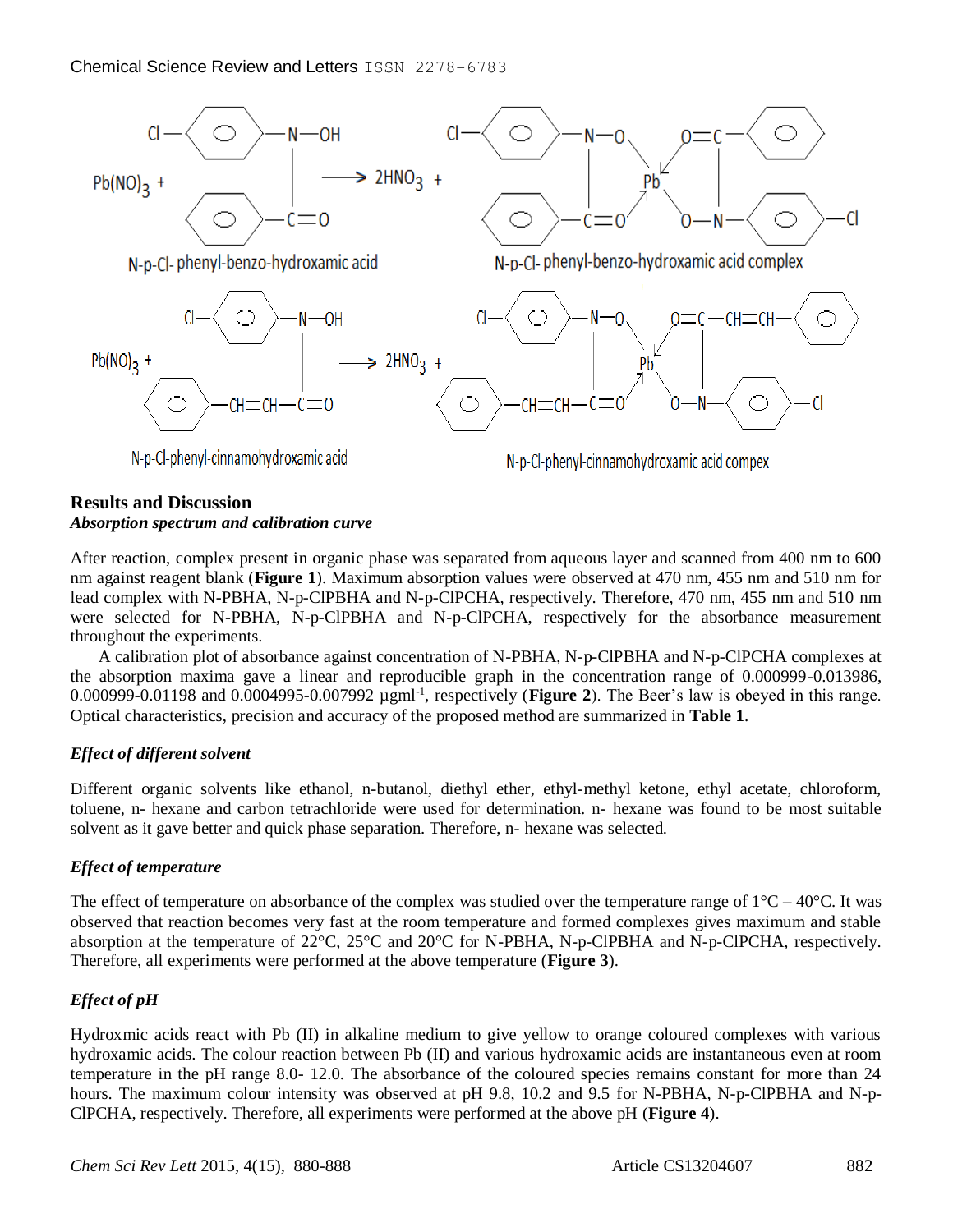

## **Results and Discussion**

#### *Absorption spectrum and calibration curve*

After reaction, complex present in organic phase was separated from aqueous layer and scanned from 400 nm to 600 nm against reagent blank (**Figure 1**). Maximum absorption values were observed at 470 nm, 455 nm and 510 nm for lead complex with N-PBHA, N-p-ClPBHA and N-p-ClPCHA, respectively. Therefore, 470 nm, 455 nm and 510 nm were selected for N-PBHA, N-p-ClPBHA and N-p-ClPCHA, respectively for the absorbance measurement throughout the experiments.

A calibration plot of absorbance against concentration of N-PBHA, N-p-ClPBHA and N-p-ClPCHA complexes at the absorption maxima gave a linear and reproducible graph in the concentration range of 0.000999-0.013986, 0.000999-0.01198 and 0.0004995-0.007992 µgml-1 , respectively (**Figure 2**). The Beer's law is obeyed in this range. Optical characteristics, precision and accuracy of the proposed method are summarized in **Table 1**.

## *Effect of different solvent*

Different organic solvents like ethanol, n-butanol, diethyl ether, ethyl-methyl ketone, ethyl acetate, chloroform, toluene, n- hexane and carbon tetrachloride were used for determination. n- hexane was found to be most suitable solvent as it gave better and quick phase separation. Therefore, n- hexane was selected.

## *Effect of temperature*

The effect of temperature on absorbance of the complex was studied over the temperature range of  $1^{\circ}C - 40^{\circ}C$ . It was observed that reaction becomes very fast at the room temperature and formed complexes gives maximum and stable absorption at the temperature of 22°C, 25°C and 20°C for N-PBHA, N-p-ClPBHA and N-p-ClPCHA, respectively. Therefore, all experiments were performed at the above temperature (**Figure 3**).

# *Effect of pH*

Hydroxmic acids react with Pb (II) in alkaline medium to give yellow to orange coloured complexes with various hydroxamic acids. The colour reaction between Pb (II) and various hydroxamic acids are instantaneous even at room temperature in the pH range 8.0- 12.0. The absorbance of the coloured species remains constant for more than 24 hours. The maximum colour intensity was observed at pH 9.8, 10.2 and 9.5 for N-PBHA, N-p-ClPBHA and N-p-ClPCHA, respectively. Therefore, all experiments were performed at the above pH (**Figure 4**).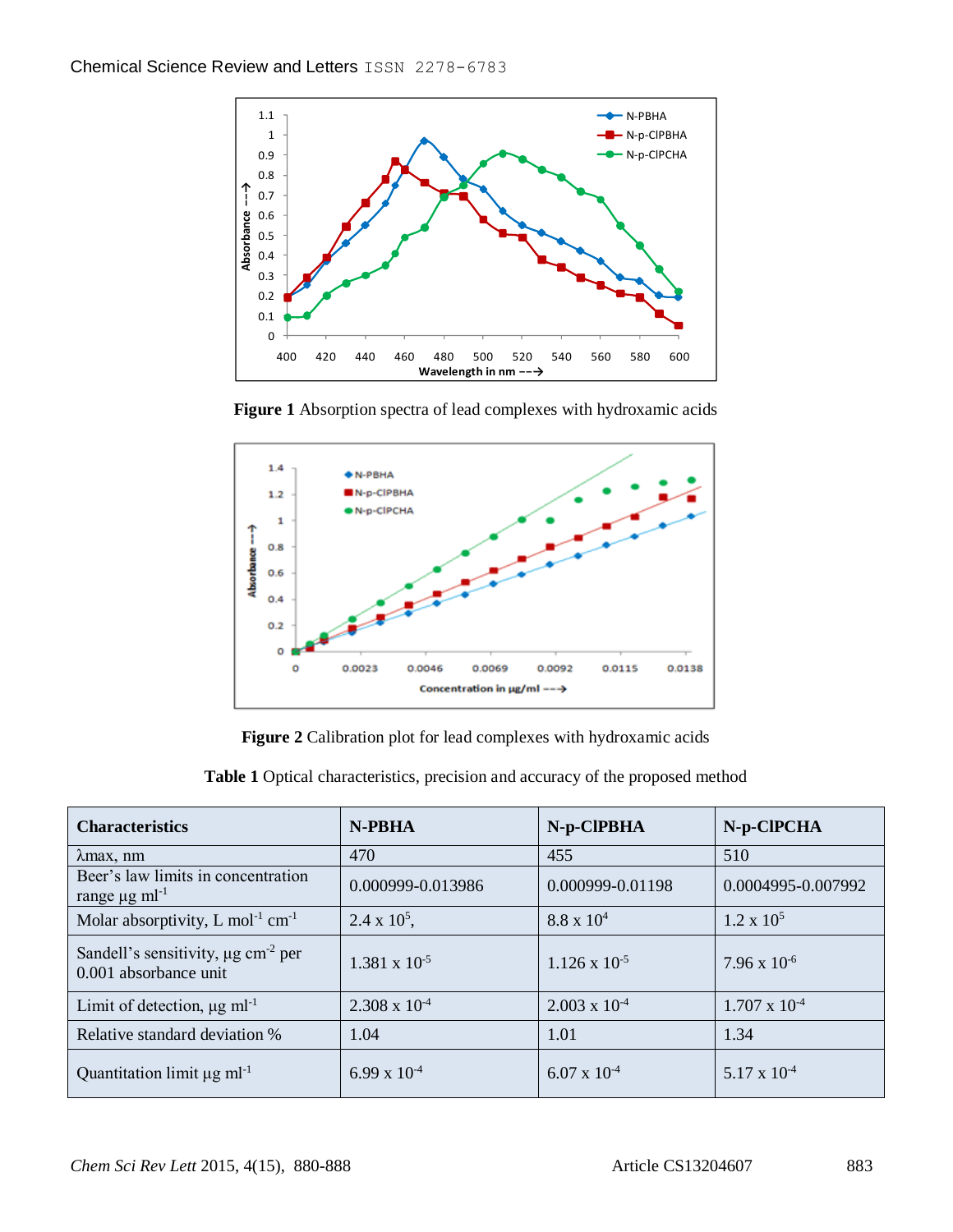

**Figure 1** Absorption spectra of lead complexes with hydroxamic acids



**Figure 2** Calibration plot for lead complexes with hydroxamic acids

| <b>Characteristics</b>                                                       | N-PBHA                 | N-p-CIPBHA             | N-p-CIPCHA             |
|------------------------------------------------------------------------------|------------------------|------------------------|------------------------|
| $\lambda$ max, nm                                                            | 470                    | 455                    | 510                    |
| Beer's law limits in concentration<br>range $\mu$ g ml <sup>-1</sup>         | 0.000999-0.013986      | 0.000999-0.01198       | 0.0004995-0.007992     |
| Molar absorptivity, L mol <sup>-1</sup> cm <sup>-1</sup>                     | $2.4 \times 10^5$ ,    | $8.8 \times 10^{4}$    | $1.2 \times 10^5$      |
| Sandell's sensitivity, $\mu$ g cm <sup>-2</sup> per<br>0.001 absorbance unit | $1.381 \times 10^{-5}$ | $1.126 \times 10^{-5}$ | $7.96 \times 10^{-6}$  |
| Limit of detection, $\mu$ g ml <sup>-1</sup>                                 | $2.308 \times 10^{-4}$ | $2.003 \times 10^{-4}$ | $1.707 \times 10^{-4}$ |
| Relative standard deviation %                                                | 1.04                   | 1.01                   | 1.34                   |
| Quantitation limit $\mu$ g ml <sup>-1</sup>                                  | $6.99 \times 10^{-4}$  | $6.07 \times 10^{-4}$  | $5.17 \times 10^{-4}$  |

**Table 1** Optical characteristics, precision and accuracy of the proposed method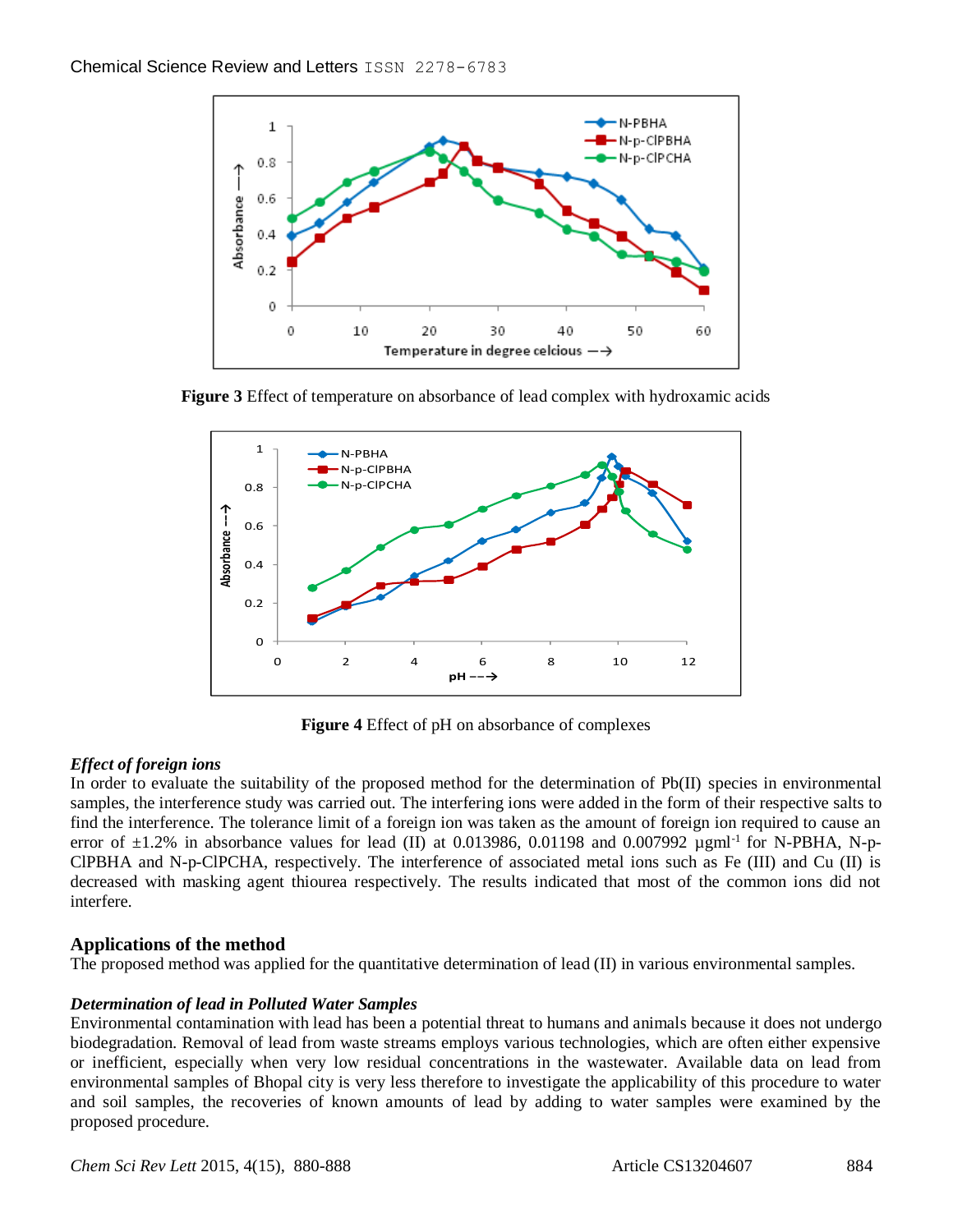

**Figure 3** Effect of temperature on absorbance of lead complex with hydroxamic acids



**Figure 4** Effect of pH on absorbance of complexes

## *Effect of foreign ions*

In order to evaluate the suitability of the proposed method for the determination of Pb(II) species in environmental samples, the interference study was carried out. The interfering ions were added in the form of their respective salts to find the interference. The tolerance limit of a foreign ion was taken as the amount of foreign ion required to cause an error of  $\pm 1.2\%$  in absorbance values for lead (II) at 0.013986, 0.01198 and 0.007992 µgml<sup>-1</sup> for N-PBHA, N-p-ClPBHA and N-p-ClPCHA, respectively. The interference of associated metal ions such as Fe (III) and Cu (II) is decreased with masking agent thiourea respectively. The results indicated that most of the common ions did not interfere.

## **Applications of the method**

The proposed method was applied for the quantitative determination of lead (II) in various environmental samples.

## *Determination of lead in Polluted Water Samples*

Environmental contamination with lead has been a potential threat to humans and animals because it does not undergo biodegradation. Removal of lead from waste streams employs various technologies, which are often either expensive or inefficient, especially when very low residual concentrations in the wastewater. Available data on lead from environmental samples of Bhopal city is very less therefore to investigate the applicability of this procedure to water and soil samples, the recoveries of known amounts of lead by adding to water samples were examined by the proposed procedure.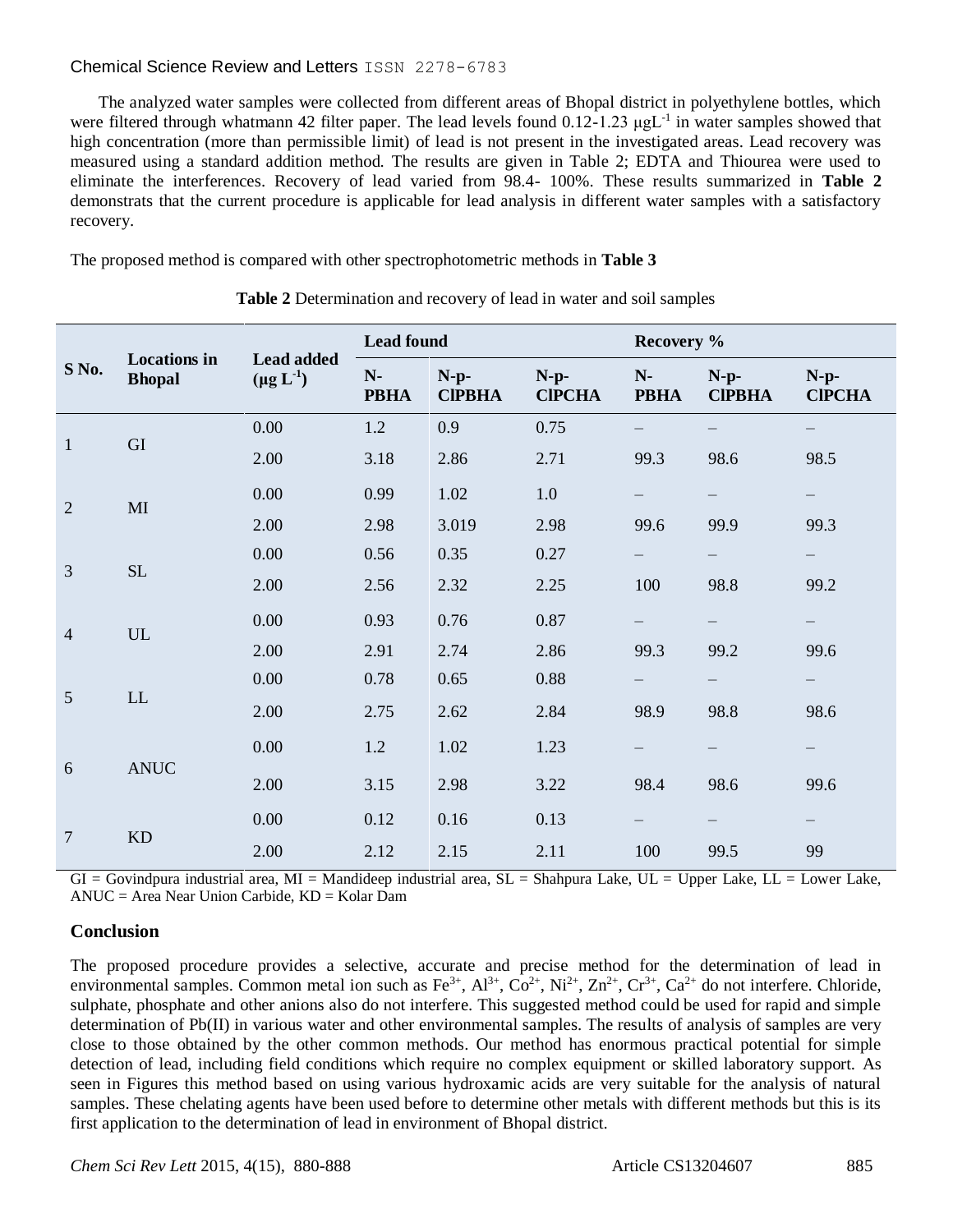## Chemical Science Review and Letters ISSN 2278-6783

The analyzed water samples were collected from different areas of Bhopal district in polyethylene bottles, which were filtered through whatmann 42 filter paper. The lead levels found 0.12-1.23 μgL<sup>-1</sup> in water samples showed that high concentration (more than permissible limit) of lead is not present in the investigated areas. Lead recovery was measured using a standard addition method. The results are given in Table 2; EDTA and Thiourea were used to eliminate the interferences. Recovery of lead varied from 98.4- 100%. These results summarized in **Table 2** demonstrats that the current procedure is applicable for lead analysis in different water samples with a satisfactory recovery.

The proposed method is compared with other spectrophotometric methods in **Table 3**

|                | <b>Locations</b> in<br><b>Bhopal</b> | Lead added<br>$(\mu g L^{-1})$ | <b>Lead found</b>   |                         |                         | Recovery %          |                         |                         |
|----------------|--------------------------------------|--------------------------------|---------------------|-------------------------|-------------------------|---------------------|-------------------------|-------------------------|
| S No.          |                                      |                                | $N-$<br><b>PBHA</b> | $N-p-$<br><b>CIPBHA</b> | $N-p-$<br><b>CIPCHA</b> | $N-$<br><b>PBHA</b> | $N-p-$<br><b>CIPBHA</b> | $N-p-$<br><b>CIPCHA</b> |
| $\mathbf{1}$   | GI                                   | 0.00                           | 1.2                 | 0.9                     | 0.75                    |                     |                         |                         |
|                |                                      | 2.00                           | 3.18                | 2.86                    | 2.71                    | 99.3                | 98.6                    | 98.5                    |
| $\overline{2}$ | MI                                   | 0.00                           | 0.99                | 1.02                    | 1.0                     |                     | —                       |                         |
|                |                                      | 2.00                           | 2.98                | 3.019                   | 2.98                    | 99.6                | 99.9                    | 99.3                    |
| 3              | $\rm SL$                             | 0.00                           | 0.56                | 0.35                    | 0.27                    | —                   | —                       | - 1                     |
|                |                                      | 2.00                           | 2.56                | 2.32                    | 2.25                    | 100                 | 98.8                    | 99.2                    |
| $\overline{4}$ | UL                                   | 0.00                           | 0.93                | 0.76                    | 0.87                    |                     |                         |                         |
|                |                                      | 2.00                           | 2.91                | 2.74                    | 2.86                    | 99.3                | 99.2                    | 99.6                    |
| 5              | LL                                   | 0.00                           | 0.78                | 0.65                    | 0.88                    |                     | —                       |                         |
|                |                                      | 2.00                           | 2.75                | 2.62                    | 2.84                    | 98.9                | 98.8                    | 98.6                    |
| 6              | <b>ANUC</b>                          | 0.00                           | 1.2                 | 1.02                    | 1.23                    |                     | —                       |                         |
|                |                                      | 2.00                           | 3.15                | 2.98                    | 3.22                    | 98.4                | 98.6                    | 99.6                    |
| $\overline{7}$ | <b>KD</b>                            | 0.00                           | 0.12                | 0.16                    | 0.13                    |                     |                         |                         |
|                |                                      | 2.00                           | 2.12                | 2.15                    | 2.11                    | 100                 | 99.5                    | 99                      |

**Table 2** Determination and recovery of lead in water and soil samples

 $GI = Govindpura$  industrial area,  $MI =$ Mandideep industrial area,  $SL =$ Shahpura Lake,  $UL =$  Upper Lake,  $LL =$  Lower Lake, ANUC = Area Near Union Carbide, KD = Kolar Dam

## **Conclusion**

The proposed procedure provides a selective, accurate and precise method for the determination of lead in environmental samples. Common metal ion such as  $Fe^{3+}$ ,  $Al^{3+}$ ,  $Co^{2+}$ ,  $Ni^{2+}$ ,  $Zn^{2+}$ ,  $Cr^{3+}$ ,  $Ca^{2+}$  do not interfere. Chloride, sulphate, phosphate and other anions also do not interfere. This suggested method could be used for rapid and simple determination of Pb(II) in various water and other environmental samples. The results of analysis of samples are very close to those obtained by the other common methods. Our method has enormous practical potential for simple detection of lead, including field conditions which require no complex equipment or skilled laboratory support. As seen in Figures this method based on using various hydroxamic acids are very suitable for the analysis of natural samples. These chelating agents have been used before to determine other metals with different methods but this is its first application to the determination of lead in environment of Bhopal district.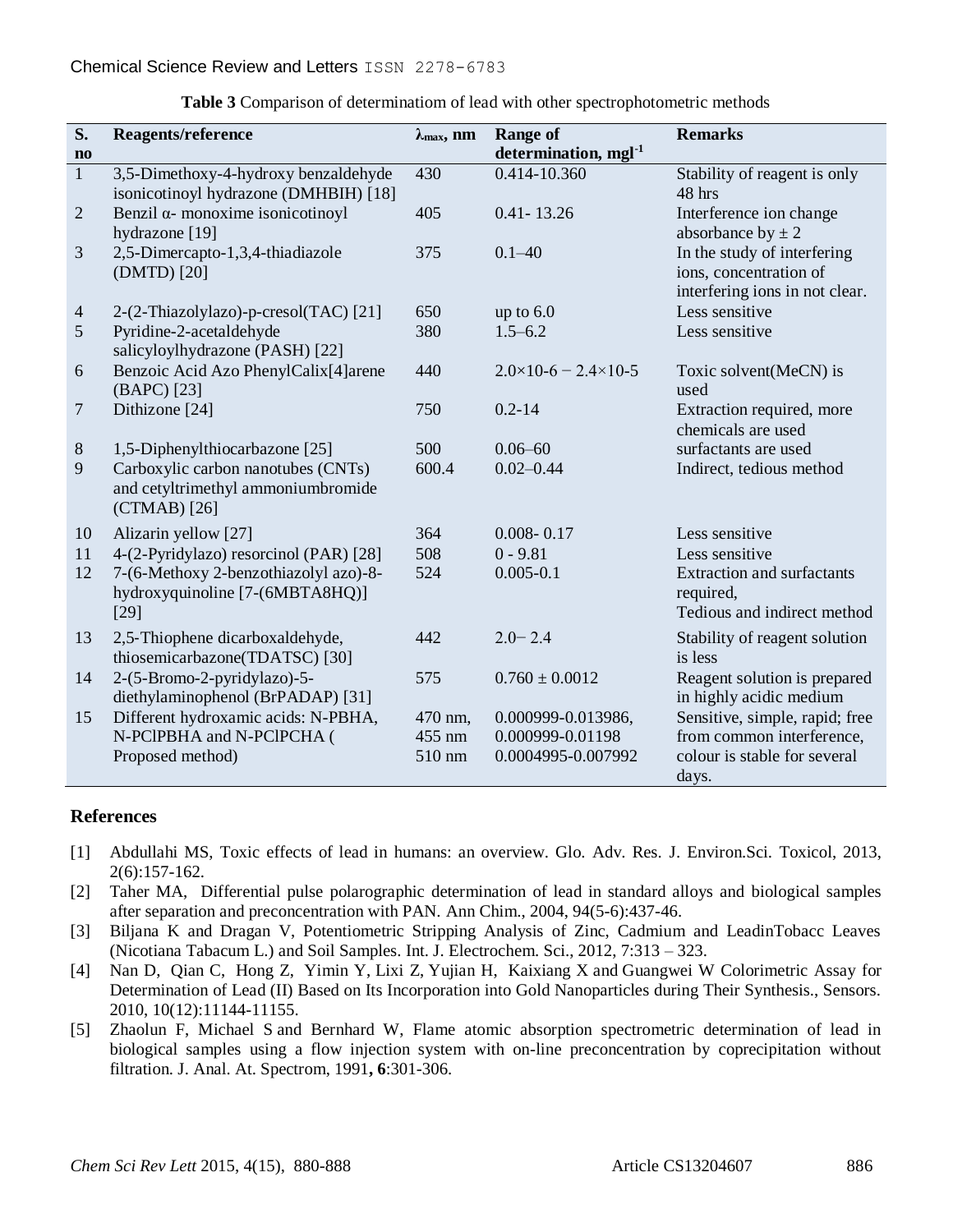| S.                     | Reagents/reference                                                                         | $\lambda_{\max}$ , nm | <b>Range of</b>                  | <b>Remarks</b>                                                                          |
|------------------------|--------------------------------------------------------------------------------------------|-----------------------|----------------------------------|-----------------------------------------------------------------------------------------|
| $\mathbf{n}\mathbf{o}$ |                                                                                            |                       | determination, mgl <sup>-1</sup> |                                                                                         |
| $\mathbf{1}$           | 3,5-Dimethoxy-4-hydroxy benzaldehyde<br>isonicotinoyl hydrazone (DMHBIH) [18]              | 430                   | $0.414 - 10.360$                 | Stability of reagent is only<br>48 hrs                                                  |
| $\overline{2}$         | Benzil $\alpha$ - monoxime isonicotinoyl<br>hydrazone [19]                                 | 405                   | $0.41 - 13.26$                   | Interference ion change<br>absorbance by $\pm 2$                                        |
| 3                      | 2,5-Dimercapto-1,3,4-thiadiazole<br>(DMTD) [20]                                            | 375                   | $0.1 - 40$                       | In the study of interfering<br>ions, concentration of<br>interfering ions in not clear. |
| $\overline{4}$         | 2-(2-Thiazolylazo)-p-cresol(TAC) [21]                                                      | 650                   | up to $6.0$                      | Less sensitive                                                                          |
| 5                      | Pyridine-2-acetaldehyde<br>salicyloylhydrazone (PASH) [22]                                 | 380                   | $1.5 - 6.2$                      | Less sensitive                                                                          |
| 6                      | Benzoic Acid Azo PhenylCalix[4]arene<br>(BAPC) [23]                                        | 440                   | $2.0\times10-6=2.4\times10-5$    | Toxic solvent(MeCN) is<br>used                                                          |
| $\overline{7}$         | Dithizone [24]                                                                             | 750                   | $0.2 - 14$                       | Extraction required, more<br>chemicals are used                                         |
| $8\,$                  | 1,5-Diphenylthiocarbazone [25]                                                             | 500                   | $0.06 - 60$                      | surfactants are used                                                                    |
| 9                      | Carboxylic carbon nanotubes (CNTs)<br>and cetyltrimethyl ammoniumbromide<br>$(CTMAB)$ [26] | 600.4                 | $0.02 - 0.44$                    | Indirect, tedious method                                                                |
| 10                     | Alizarin yellow [27]                                                                       | 364                   | $0.008 - 0.17$                   | Less sensitive                                                                          |
| 11                     | 4-(2-Pyridylazo) resorcinol (PAR) [28]                                                     | 508                   | $0 - 9.81$                       | Less sensitive                                                                          |
| 12                     | 7-(6-Methoxy 2-benzothiazolyl azo)-8-<br>hydroxyquinoline [7-(6MBTA8HQ)]<br>$[29]$         | 524                   | $0.005 - 0.1$                    | <b>Extraction and surfactants</b><br>required,<br>Tedious and indirect method           |
| 13                     | 2,5-Thiophene dicarboxaldehyde,<br>thiosemicarbazone(TDATSC) [30]                          | 442                   | $2.0 - 2.4$                      | Stability of reagent solution<br>is less                                                |
| 14                     | 2-(5-Bromo-2-pyridylazo)-5-<br>diethylaminophenol (BrPADAP) [31]                           | 575                   | $0.760 \pm 0.0012$               | Reagent solution is prepared<br>in highly acidic medium                                 |
| 15                     | Different hydroxamic acids: N-PBHA,                                                        | 470 nm,               | 0.000999-0.013986,               | Sensitive, simple, rapid; free                                                          |
|                        | N-PCIPBHA and N-PCIPCHA (                                                                  | 455 nm                | 0.000999-0.01198                 | from common interference,                                                               |
|                        | Proposed method)                                                                           | 510 nm                | 0.0004995-0.007992               | colour is stable for several<br>days.                                                   |

**Table 3** Comparison of determinatiom of lead with other spectrophotometric methods

## **References**

- [1] Abdullahi MS, Toxic effects of lead in humans: an overview. Glo. Adv. Res. J. Environ.Sci. Toxicol, 2013, 2(6):157-162.
- [2] Taher M[A,](http://www.ncbi.nlm.nih.gov/pubmed?term=Taher%20MA%5BAuthor%5D&cauthor=true&cauthor_uid=15279103) Differential pulse polarographic determination of lead in standard alloys and biological samples after separation and preconcentration with PAN. [Ann Chim.,](http://www.ncbi.nlm.nih.gov/pubmed/15279103) 2004, 94(5-6):437-46.
- [3] Biljana K and Dragan V, Potentiometric Stripping Analysis of Zinc, Cadmium and LeadinTobacc Leaves (Nicotiana Tabacum L.) and Soil Samples. Int. J. Electrochem. Sci., 2012, 7:313 – 323.
- [4] [Nan D,](http://www.mdpi.com/search?authors=Nan%20Ding) [Qian C,](http://www.mdpi.com/search?authors=Qian%20Cao) [Hong Z,](http://www.mdpi.com/search?authors=Hong%20Zhao) [Yimin Y,](http://www.mdpi.com/search?authors=Yimin%20Yang) [Lixi Z,](http://www.mdpi.com/search?authors=Lixi%20Zeng) [Yujian H,](http://www.mdpi.com/search?authors=Yujian%20He) [Kaixiang X](http://www.mdpi.com/search?authors=Kaixiang%20Xiang) and [Guangwei W](http://www.mdpi.com/search?authors=Guangwei%20Wang) Colorimetric Assay for Determination of Lead (II) Based on Its Incorporation into Gold Nanoparticles during Their Synthesis., Sensors. 2010, 10(12):11144-11155.
- [5] [Zhaolun F,](http://pubs.rsc.org/en/results?searchtext=Author%3AZhaolun%20Fang) [Michael S](http://pubs.rsc.org/en/results?searchtext=Author%3AMichael%20Sperling) and [Bernhard W,](http://pubs.rsc.org/en/results?searchtext=Author%3ABernhard%20Welz) Flame atomic absorption spectrometric determination of lead in biological samples using a flow injection system with on-line preconcentration by coprecipitation without filtration. J. Anal. At. Spectrom, 1991**, 6**:301-306.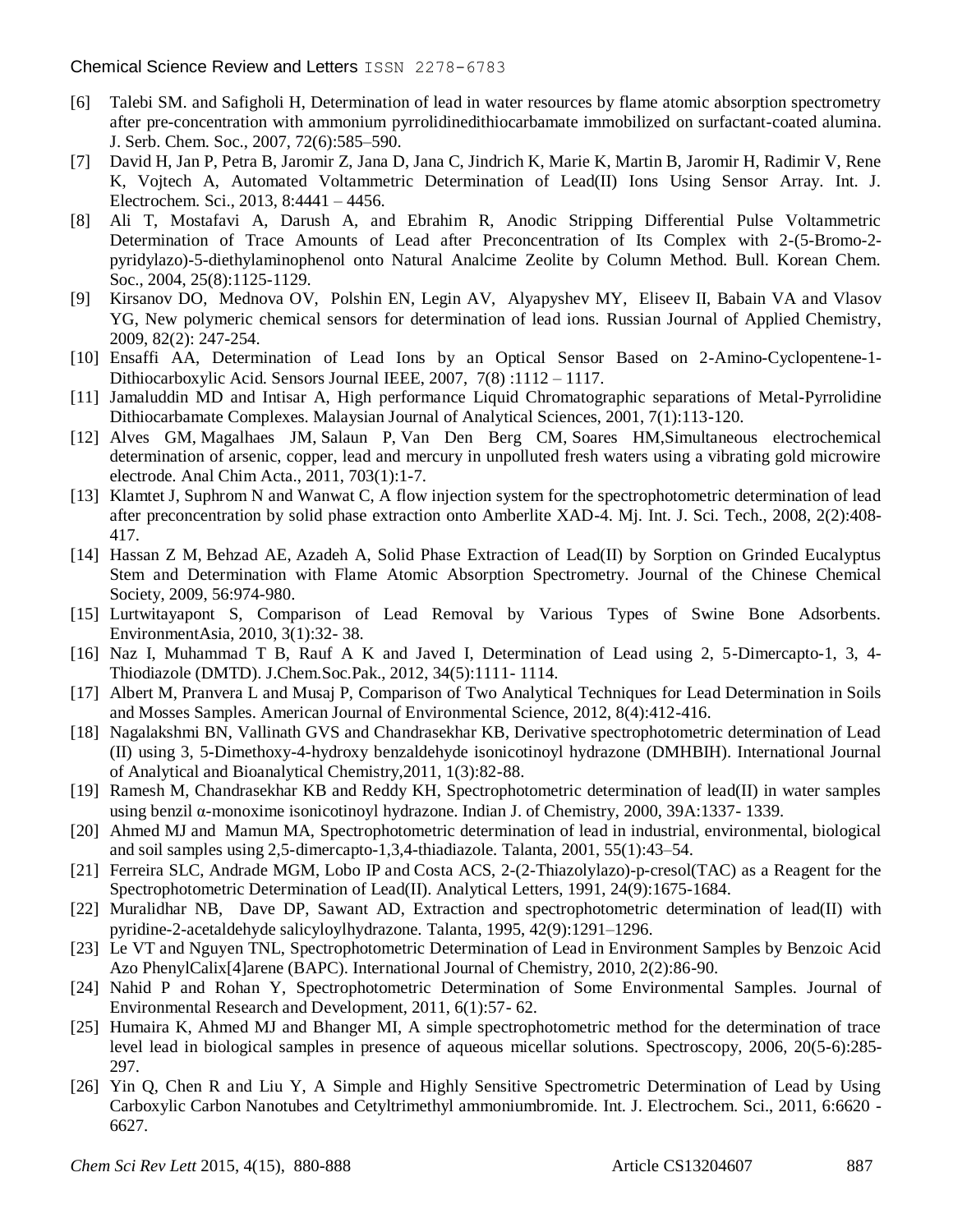- [6] Talebi SM. and Safigholi H, Determination of lead in water resources by flame atomic absorption spectrometry after pre-concentration with ammonium pyrrolidinedithiocarbamate immobilized on surfactant-coated alumina. J. Serb. Chem. Soc., 2007, 72(6):585–590.
- [7] David H, Jan P, Petra B, Jaromir Z, Jana D, Jana C, Jindrich K, Marie K, Martin B, Jaromir H, Radimir V, Rene K, Vojtech A, Automated Voltammetric Determination of Lead(II) Ions Using Sensor Array. Int. J. Electrochem. Sci., 2013, 8:4441 – 4456.
- [8] Ali T, Mostafavi A, Darush A, and Ebrahim R, Anodic Stripping Differential Pulse Voltammetric Determination of Trace Amounts of Lead after Preconcentration of Its Complex with 2-(5-Bromo-2 pyridylazo)-5-diethylaminophenol onto Natural Analcime Zeolite by Column Method. Bull. Korean Chem. Soc., 2004, 25(8):1125-1129.
- [9] [Kirsanov](http://link.springer.com/search?facet-author=%22D.+O.+Kirsanov%22) DO, [Mednova](http://link.springer.com/search?facet-author=%22O.+V.+Mednova%22) OV, [Polshin](http://link.springer.com/search?facet-author=%22E.+N.+Pol%E2%80%99shin%22) EN, [Legin](http://link.springer.com/search?facet-author=%22A.+V.+Legin%22) AV, [Alyapyshev](http://link.springer.com/search?facet-author=%22M.+Yu.+Alyapyshev%22) MY, [Eliseev](http://link.springer.com/search?facet-author=%22I.+I.+Eliseev%22) II, [Babain](http://link.springer.com/search?facet-author=%22V.+A.+Babain%22) VA and [Vlasov](http://link.springer.com/search?facet-author=%22Yu.+G.+Vlasov%22) YG, New polymeric chemical sensors for determination of lead ions. [Russian Journal of Applied Chemistry,](http://link.springer.com/journal/11167) 2009, 82[\(2\)](http://link.springer.com/journal/11167/82/2/page/1): 247-254.
- [10] Ensaffi AA, [Determination of Lead Ions by an Optical Sensor Based on 2-Amino-Cyclopentene-1-](http://ieeexplore.ieee.org/xpl/RecentIssue.jsp?punumber=7361) [Dithiocarboxylic Acid. Sensors Journal IEEE, 2007,](http://ieeexplore.ieee.org/xpl/RecentIssue.jsp?punumber=7361) 7[\(8\)](http://ieeexplore.ieee.org/xpl/tocresult.jsp?isnumber=4214860) :1112 – 1117.
- [11] Jamaluddin MD and Intisar A, High performance Liquid Chromatographic separations of Metal-Pyrrolidine Dithiocarbamate Complexes. Malaysian Journal of Analytical Sciences, 2001, 7(1):113-120.
- [12] [Alves GM,](http://www.ncbi.nlm.nih.gov/pubmed?term=Alves%20GM%5BAuthor%5D&cauthor=true&cauthor_uid=21843669) [Magalhaes JM,](http://www.ncbi.nlm.nih.gov/pubmed?term=Magalh%C3%A3es%20JM%5BAuthor%5D&cauthor=true&cauthor_uid=21843669) [Salaun P,](http://www.ncbi.nlm.nih.gov/pubmed?term=Sala%C3%BCn%20P%5BAuthor%5D&cauthor=true&cauthor_uid=21843669) [Van Den Berg CM,](http://www.ncbi.nlm.nih.gov/pubmed?term=van%20den%20Berg%20CM%5BAuthor%5D&cauthor=true&cauthor_uid=21843669) [Soares HM,](http://www.ncbi.nlm.nih.gov/pubmed?term=Soares%20HM%5BAuthor%5D&cauthor=true&cauthor_uid=21843669)Simultaneous electrochemical determination of arsenic, copper, lead and mercury in unpolluted fresh waters using a vibrating gold microwire electrode. [Anal Chim Acta.,](http://www.ncbi.nlm.nih.gov/pubmed/21843669) 2011, 703(1):1-7.
- [13] Klamtet J, Suphrom N and Wanwat C, A flow injection system for the spectrophotometric determination of lead after preconcentration by solid phase extraction onto Amberlite XAD-4. Mj. Int. J. Sci. Tech., 2008, 2(2):408- 417.
- [14] [Hassan Z M,](http://www.researchgate.net/researcher/29884995_Hassan_Zavvar_Mousavi) [Behzad AE,](http://www.researchgate.net/researcher/2011095374_Behzad_Aibaghi-Esfahani) [Azadeh A,](http://www.researchgate.net/researcher/2047161670_Azadeh_Arjmandi) Solid Phase Extraction of Lead(II) by Sorption on Grinded Eucalyptus Stem and Determination with Flame Atomic Absorption Spectrometry. Journal of the Chinese Chemical Society, 2009, 56:974-980.
- [15] [Lurtwitayapont S,](http://www.researchgate.net/researcher/16316266_Lurtwitayapont_Sudaratn) Comparison of Lead Removal by Various Types of Swine Bone Adsorbents. EnvironmentAsia, 2010, 3(1):32- 38.
- [16] Naz I, Muhammad T B, Rauf A K and Javed I, Determination of Lead using 2, 5-Dimercapto-1, 3, 4- Thiodiazole (DMTD). J.Chem.Soc.Pak., 2012, 34(5):1111- 1114.
- [17] Albert M, Pranvera L and Musaj P, Comparison of Two Analytical Techniques for Lead Determination in Soils and Mosses Samples. American Journal of Environmental Science, 2012, 8(4):412-416.
- [18] Nagalakshmi BN, Vallinath GVS and Chandrasekhar KB, Derivative spectrophotometric determination of Lead (II) using 3, 5-Dimethoxy-4-hydroxy benzaldehyde isonicotinoyl hydrazone (DMHBIH). International Journal of Analytical and Bioanalytical Chemistry,2011, 1(3):82-88.
- [19] Ramesh M, Chandrasekhar KB and Reddy KH, Spectrophotometric determination of lead(II) in water samples using benzil α-monoxime isonicotinoyl hydrazone. Indian J. of Chemistry, 2000, 39A:1337- 1339.
- [20] [Ahmed](http://www.sciencedirect.com/science/article/pii/S0039914001003897) MJ and [Mamun](http://www.sciencedirect.com/science/article/pii/S0039914001003897) MA, Spectrophotometric determination of lead in industrial, environmental, biological and soil samples using 2,5-dimercapto-1,3,4-thiadiazole. [Talanta,](http://www.sciencedirect.com/science/journal/00399140) 2001, [55\(1\)](http://www.sciencedirect.com/science/journal/00399140/55/1):43–54.
- [21] [Ferreira](http://www.tandfonline.com/action/doSearch?action=runSearch&type=advanced&searchType=journal&result=true&prevSearch=%2Bauthorsfield%3A(Ferreira%2C+S+L+C)) SLC, [Andrade](http://www.tandfonline.com/action/doSearch?action=runSearch&type=advanced&searchType=journal&result=true&prevSearch=%2Bauthorsfield%3A(Andrade%2C+M+G)) MGM, [Lobo](http://www.tandfonline.com/action/doSearch?action=runSearch&type=advanced&searchType=journal&result=true&prevSearch=%2Bauthorsfield%3A(Lobo%2C+I+P)) IP and [Costa](http://www.tandfonline.com/action/doSearch?action=runSearch&type=advanced&searchType=journal&result=true&prevSearch=%2Bauthorsfield%3A(Costa%2C+A+C+S)) ACS, 2-(2-Thiazolylazo)-p-cresol(TAC) as a Reagent for the Spectrophotometric Determination of Lead(II). Analytical Letters, 1991, [24\(](http://www.tandfonline.com/loi/lanl20?open=24#vol_24)[9\)](http://www.tandfonline.com/toc/lanl20/24/9):1675-1684.
- [22] [Muralidhar NB,](http://www.sciencedirect.com/science/article/pii/003991409501578Y) [Dave](http://www.sciencedirect.com/science/article/pii/003991409501578Y) DP, [Sawant](http://www.sciencedirect.com/science/article/pii/003991409501578Y) AD, Extraction and spectrophotometric determination of lead(II) with pyridine-2-acetaldehyde salicyloylhydrazone. [Talanta,](http://www.sciencedirect.com/science/journal/00399140) 1995, [42\(9\)](http://www.sciencedirect.com/science/journal/00399140/42/9):1291–1296.
- [23] Le VT and Nguyen TNL, Spectrophotometric Determination of Lead in Environment Samples by Benzoic Acid Azo PhenylCalix[4]arene (BAPC). International Journal of Chemistry, 2010, 2(2):86-90.
- [24] Nahid P and Rohan Y, Spectrophotometric Determination of Some Environmental Samples. Journal of Environmental Research and Development, 2011, 6(1):57- 62.
- [25] Humaira K, Ahmed MJ and Bhanger MI, A simple spectrophotometric method for the determination of trace level lead in biological samples in presence of aqueous micellar solutions. Spectroscopy, 2006, 20(5-6):285- 297.
- [26] Yin Q, Chen R and Liu Y, A Simple and Highly Sensitive Spectrometric Determination of Lead by Using Carboxylic Carbon Nanotubes and Cetyltrimethyl ammoniumbromide. Int. J. Electrochem. Sci., 2011, 6:6620 - 6627.